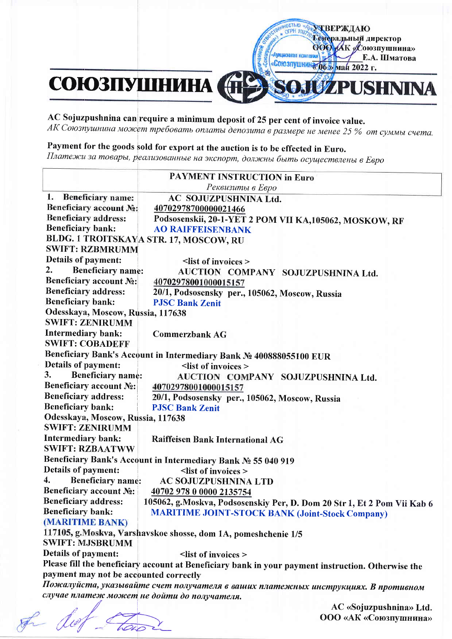# СОЮЗПУШНИНА **LIZPUSHNINA**

### AC Sojuzpushnina can require a minimum deposit of 25 per cent of invoice value.

АК Союзпушнина может требовать оплаты депозита в размере не менее 25 % от суммы счета.

**MOCTERO AVANT BEPXAIO** 

 $581$ «Союзпушнин (ба) мая 2022 г.

Аукционная компания

**axk** 

Тенеральный директор ООО АК Союзпушнина»

Е.А. Шматова

### Payment for the goods sold for export at the auction is to be effected in Euro.

Платежи за товары, реализованные на экспорт, должны быть осуществлены в Евро

| 1. Beneficiary name:                   | Реквизиты в Евро                                                                                   |
|----------------------------------------|----------------------------------------------------------------------------------------------------|
|                                        |                                                                                                    |
|                                        | AC SOJUZPUSHNINA Ltd.                                                                              |
| Beneficiary account No:                | 40702978700000021466                                                                               |
| <b>Beneficiary address:</b>            | Podsosenskii, 20-1-YET 2 POM VII KA, 105062, MOSKOW, RF                                            |
| <b>Beneficiary bank:</b>               | <b>AO RAIFFEISENBANK</b>                                                                           |
|                                        | BLDG. 1 TROITSKAYA STR. 17, MOSCOW, RU                                                             |
| <b>SWIFT: RZBMRUMM</b>                 |                                                                                                    |
| <b>Details of payment:</b>             | $\le$ list of invoices $>$                                                                         |
| 2.<br><b>Beneficiary name:</b>         | AUCTION COMPANY SOJUZPUSHNINA Ltd.                                                                 |
| <b>Beneficiary account No:</b>         | 40702978001000015157                                                                               |
| <b>Beneficiary address:</b>            | 20/1, Podsosensky per., 105062, Moscow, Russia                                                     |
| <b>Beneficiary bank:</b>               | <b>PJSC Bank Zenit</b>                                                                             |
| Odesskaya, Moscow, Russia, 117638      |                                                                                                    |
| <b>SWIFT: ZENIRUMM</b>                 |                                                                                                    |
| <b>Intermediary bank:</b>              | <b>Commerzbank AG</b>                                                                              |
| <b>SWIFT: COBADEFF</b>                 |                                                                                                    |
|                                        | Beneficiary Bank's Account in Intermediary Bank No 400888055100 EUR                                |
| <b>Details of payment:</b>             | <list invoices="" of=""></list>                                                                    |
| 3.<br><b>Beneficiary name:</b>         | AUCTION COMPANY SOJUZPUSHNINA Ltd.                                                                 |
| Beneficiary account No:                | 40702978001000015157                                                                               |
| <b>Beneficiary address:</b>            | 20/1, Podsosensky per., 105062, Moscow, Russia                                                     |
| <b>Beneficiary bank:</b>               | <b>PJSC Bank Zenit</b>                                                                             |
| Odesskaya, Moscow, Russia, 117638      |                                                                                                    |
| <b>SWIFT: ZENIRUMM</b>                 |                                                                                                    |
| Intermediary bank:                     | Raiffeisen Bank International AG                                                                   |
| <b>SWIFT: RZBAATWW</b>                 |                                                                                                    |
|                                        | Beneficiary Bank's Account in Intermediary Bank No 55 040 919                                      |
| Details of payment:                    | <list invoices="" of=""></list>                                                                    |
| 4.<br><b>Beneficiary name:</b>         | AC SOJUZPUSHNINA LTD                                                                               |
| <b>Beneficiary account No:</b>         | 40702 978 0 0000 2135754                                                                           |
| <b>Beneficiary address:</b>            | 105062, g.Moskva, Podsosenskiy Per, D. Dom 20 Str 1, Et 2 Pom Vii Kab 6                            |
| <b>Beneficiary bank:</b>               | <b>MARITIME JOINT-STOCK BANK (Joint-Stock Company)</b>                                             |
| (MARITIME BANK)                        |                                                                                                    |
|                                        | 117105, g.Moskva, Varshavskoe shosse, dom 1A, pomeshchenie 1/5                                     |
| <b>SWIFT: MJSBRUMM</b>                 |                                                                                                    |
| Details of payment:                    | <list invoices="" of=""></list>                                                                    |
|                                        | Please fill the beneficiary account at Beneficiary bank in your payment instruction. Otherwise the |
| payment may not be accounted correctly |                                                                                                    |
|                                        | Пожалуйста, указывайте счет получателя в ваших платежных инструкциях. В противном                  |
|                                        | случае платеж может не дойти до получателя.                                                        |
|                                        |                                                                                                    |
|                                        |                                                                                                    |
|                                        | AC «Sojuzpushnina» Ltd.<br>ООО «АК «Союзпушнина»                                                   |